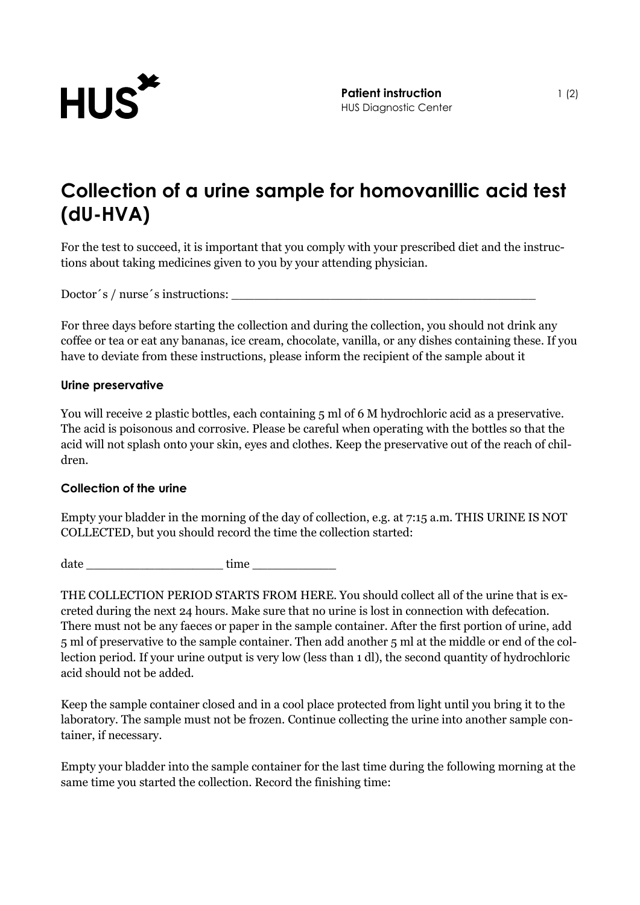

## **Collection of a urine sample for homovanillic acid test (dU-HVA)**

For the test to succeed, it is important that you comply with your prescribed diet and the instructions about taking medicines given to you by your attending physician.

Doctor´s / nurse´s instructions: \_\_\_\_\_\_\_\_\_\_\_\_\_\_\_\_\_\_\_\_\_\_\_\_\_\_\_\_\_\_\_\_\_\_\_\_\_\_\_\_

For three days before starting the collection and during the collection, you should not drink any coffee or tea or eat any bananas, ice cream, chocolate, vanilla, or any dishes containing these. If you have to deviate from these instructions, please inform the recipient of the sample about it

## **Urine preservative**

You will receive 2 plastic bottles, each containing 5 ml of 6 M hydrochloric acid as a preservative. The acid is poisonous and corrosive. Please be careful when operating with the bottles so that the acid will not splash onto your skin, eyes and clothes. Keep the preservative out of the reach of children.

## **Collection of the urine**

Empty your bladder in the morning of the day of collection, e.g. at 7:15 a.m. THIS URINE IS NOT COLLECTED, but you should record the time the collection started:

 $date$   $time$ 

THE COLLECTION PERIOD STARTS FROM HERE. You should collect all of the urine that is excreted during the next 24 hours. Make sure that no urine is lost in connection with defecation. There must not be any faeces or paper in the sample container. After the first portion of urine, add 5 ml of preservative to the sample container. Then add another 5 ml at the middle or end of the collection period. If your urine output is very low (less than 1 dl), the second quantity of hydrochloric acid should not be added.

Keep the sample container closed and in a cool place protected from light until you bring it to the laboratory. The sample must not be frozen. Continue collecting the urine into another sample container, if necessary.

Empty your bladder into the sample container for the last time during the following morning at the same time you started the collection. Record the finishing time: